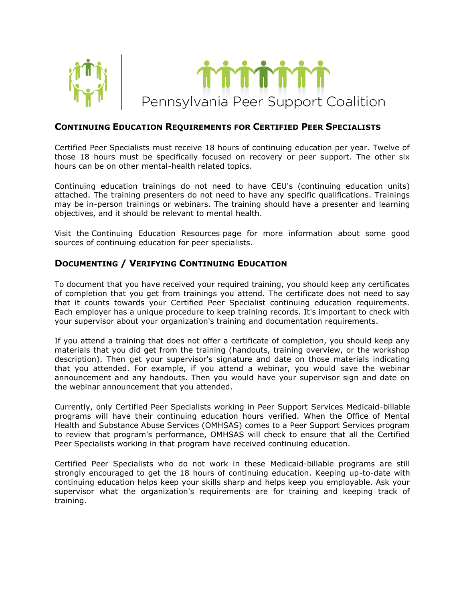



## **CONTINUING EDUCATION REQUIREMENTS FOR CERTIFIED PEER SPECIALISTS**

Certified Peer Specialists must receive 18 hours of continuing education per year. Twelve of those 18 hours must be specifically focused on recovery or peer support. The other six hours can be on other mental-health related topics.

Continuing education trainings do not need to have CEU's (continuing education units) attached. The training presenters do not need to have any specific qualifications. Trainings may be in-person trainings or webinars. The training should have a presenter and learning objectives, and it should be relevant to mental health.

Visit the [Continuing Education Resources](http://www.papeersupportcoalition.org/education/resources.html) page for more information about some good sources of continuing education for peer specialists.

## **DOCUMENTING / VERIFYING CONTINUING EDUCATION**

To document that you have received your required training, you should keep any certificates of completion that you get from trainings you attend. The certificate does not need to say that it counts towards your Certified Peer Specialist continuing education requirements. Each employer has a unique procedure to keep training records. It's important to check with your supervisor about your organization's training and documentation requirements.

If you attend a training that does not offer a certificate of completion, you should keep any materials that you did get from the training (handouts, training overview, or the workshop description). Then get your supervisor's signature and date on those materials indicating that you attended. For example, if you attend a webinar, you would save the webinar announcement and any handouts. Then you would have your supervisor sign and date on the webinar announcement that you attended.

Currently, only Certified Peer Specialists working in Peer Support Services Medicaid-billable programs will have their continuing education hours verified. When the Office of Mental Health and Substance Abuse Services (OMHSAS) comes to a Peer Support Services program to review that program's performance, OMHSAS will check to ensure that all the Certified Peer Specialists working in that program have received continuing education.

Certified Peer Specialists who do not work in these Medicaid-billable programs are still strongly encouraged to get the 18 hours of continuing education. Keeping up-to-date with continuing education helps keep your skills sharp and helps keep you employable. Ask your supervisor what the organization's requirements are for training and keeping track of training.